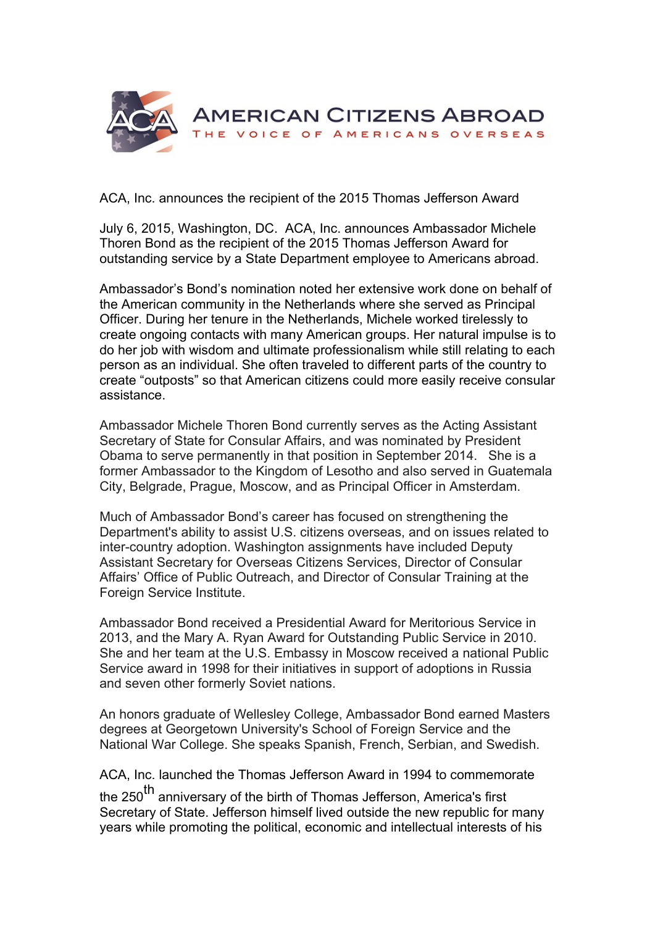

ACA, Inc. announces the recipient of the 2015 Thomas Jefferson Award

July 6, 2015, Washington, DC. ACA, Inc. announces Ambassador Michele Thoren Bond as the recipient of the 2015 Thomas Jefferson Award for outstanding service by a State Department employee to Americans abroad.

Ambassador's Bond's nomination noted her extensive work done on behalf of the American community in the Netherlands where she served as Principal Officer. During her tenure in the Netherlands, Michele worked tirelessly to create ongoing contacts with many American groups. Her natural impulse is to do her job with wisdom and ultimate professionalism while still relating to each person as an individual. She often traveled to different parts of the country to create "outposts" so that American citizens could more easily receive consular assistance.

Ambassador Michele Thoren Bond currently serves as the Acting Assistant Secretary of State for Consular Affairs, and was nominated by President Obama to serve permanently in that position in September 2014. She is a former Ambassador to the Kingdom of Lesotho and also served in Guatemala City, Belgrade, Prague, Moscow, and as Principal Officer in Amsterdam.

Much of Ambassador Bond's career has focused on strengthening the Department's ability to assist U.S. citizens overseas, and on issues related to inter-country adoption. Washington assignments have included Deputy Assistant Secretary for Overseas Citizens Services, Director of Consular Affairs' Office of Public Outreach, and Director of Consular Training at the Foreign Service Institute.

Ambassador Bond received a Presidential Award for Meritorious Service in 2013, and the Mary A. Ryan Award for Outstanding Public Service in 2010. She and her team at the U.S. Embassy in Moscow received a national Public Service award in 1998 for their initiatives in support of adoptions in Russia and seven other formerly Soviet nations.

An honors graduate of Wellesley College, Ambassador Bond earned Masters degrees at Georgetown University's School of Foreign Service and the National War College. She speaks Spanish, French, Serbian, and Swedish.

ACA, Inc. launched the Thomas Jefferson Award in 1994 to commemorate

the 250<sup>th</sup> anniversary of the birth of Thomas Jefferson, America's first Secretary of State. Jefferson himself lived outside the new republic for many years while promoting the political, economic and intellectual interests of his